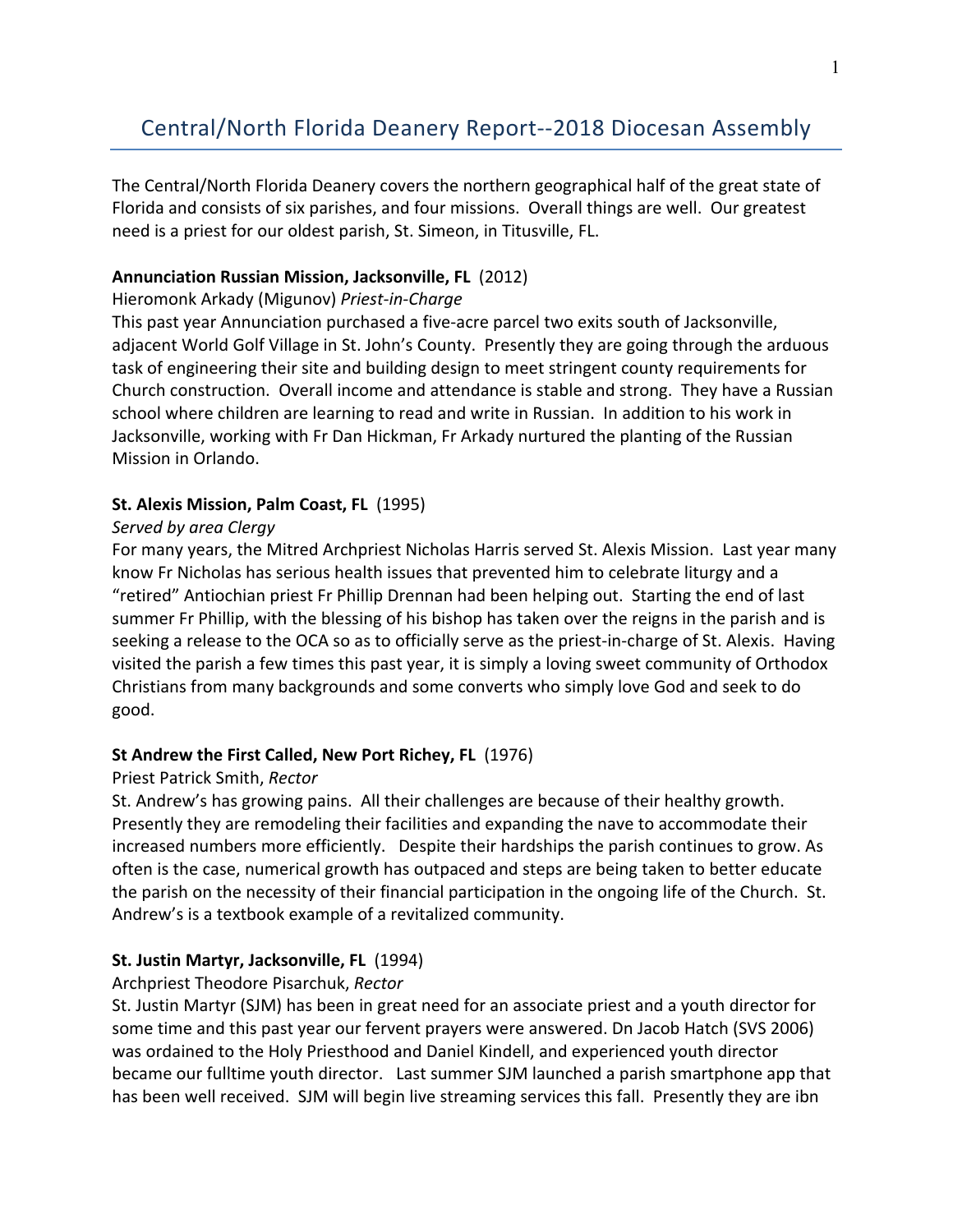# Central/North Florida Deanery Report--2018 Diocesan Assembly

The Central/North Florida Deanery covers the northern geographical half of the great state of Florida and consists of six parishes, and four missions. Overall things are well. Our greatest need is a priest for our oldest parish, St. Simeon, in Titusville, FL.

## **Annunciation Russian Mission, Jacksonville, FL (2012)**

### Hieromonk Arkady (Migunov) *Priest-in-Charge*

This past year Annunciation purchased a five-acre parcel two exits south of Jacksonville, adjacent World Golf Village in St. John's County. Presently they are going through the arduous task of engineering their site and building design to meet stringent county requirements for Church construction. Overall income and attendance is stable and strong. They have a Russian school where children are learning to read and write in Russian. In addition to his work in Jacksonville, working with Fr Dan Hickman, Fr Arkady nurtured the planting of the Russian Mission in Orlando.

### **St. Alexis Mission, Palm Coast, FL (1995)**

### *Served by area Clergy*

For many years, the Mitred Archpriest Nicholas Harris served St. Alexis Mission. Last year many know Fr Nicholas has serious health issues that prevented him to celebrate liturgy and a "retired" Antiochian priest Fr Phillip Drennan had been helping out. Starting the end of last summer Fr Phillip, with the blessing of his bishop has taken over the reigns in the parish and is seeking a release to the OCA so as to officially serve as the priest-in-charge of St. Alexis. Having visited the parish a few times this past year, it is simply a loving sweet community of Orthodox Christians from many backgrounds and some converts who simply love God and seek to do good.

# **St Andrew the First Called, New Port Richey, FL (1976)**

#### Priest Patrick Smith, *Rector*

St. Andrew's has growing pains. All their challenges are because of their healthy growth. Presently they are remodeling their facilities and expanding the nave to accommodate their increased numbers more efficiently. Despite their hardships the parish continues to grow. As often is the case, numerical growth has outpaced and steps are being taken to better educate the parish on the necessity of their financial participation in the ongoing life of the Church. St. Andrew's is a textbook example of a revitalized community.

# **St. Justin Martyr, Jacksonville, FL** (1994)

# Archpriest Theodore Pisarchuk, Rector

St. Justin Martyr (SJM) has been in great need for an associate priest and a youth director for some time and this past year our fervent prayers were answered. Dn Jacob Hatch (SVS 2006) was ordained to the Holy Priesthood and Daniel Kindell, and experienced youth director became our fulltime youth director. Last summer SJM launched a parish smartphone app that has been well received. SJM will begin live streaming services this fall. Presently they are ibn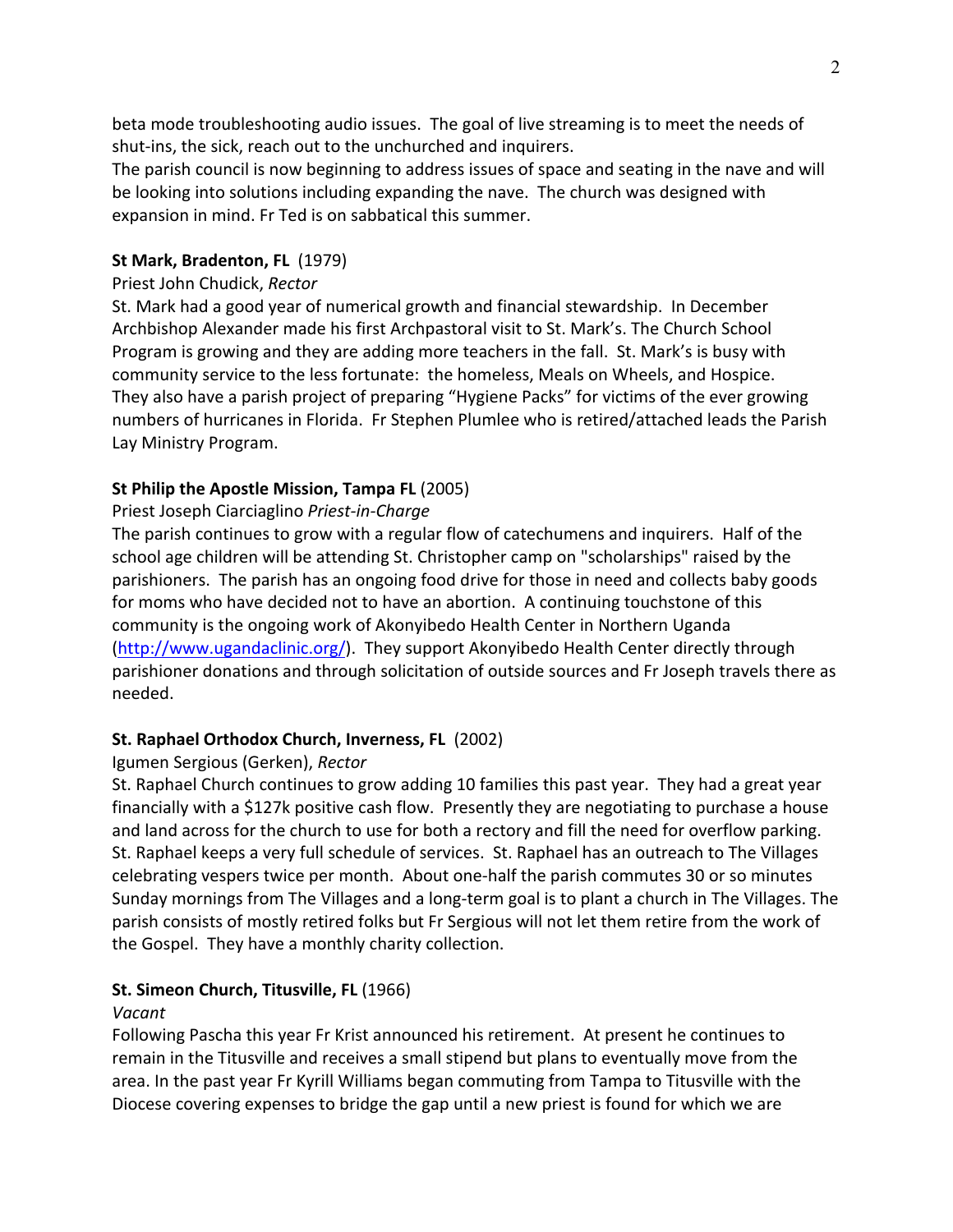beta mode troubleshooting audio issues. The goal of live streaming is to meet the needs of shut-ins, the sick, reach out to the unchurched and inquirers.

The parish council is now beginning to address issues of space and seating in the nave and will be looking into solutions including expanding the nave. The church was designed with expansion in mind. Fr Ted is on sabbatical this summer.

### **St Mark, Bradenton, FL (1979)**

#### Priest John Chudick, *Rector*

St. Mark had a good year of numerical growth and financial stewardship. In December Archbishop Alexander made his first Archpastoral visit to St. Mark's. The Church School Program is growing and they are adding more teachers in the fall. St. Mark's is busy with community service to the less fortunate: the homeless, Meals on Wheels, and Hospice. They also have a parish project of preparing "Hygiene Packs" for victims of the ever growing numbers of hurricanes in Florida. Fr Stephen Plumlee who is retired/attached leads the Parish Lay Ministry Program.

### **St Philip the Apostle Mission, Tampa FL (2005)**

### Priest Joseph Ciarciaglino *Priest-in-Charge*

The parish continues to grow with a regular flow of catechumens and inquirers. Half of the school age children will be attending St. Christopher camp on "scholarships" raised by the parishioners. The parish has an ongoing food drive for those in need and collects baby goods for moms who have decided not to have an abortion. A continuing touchstone of this community is the ongoing work of Akonyibedo Health Center in Northern Uganda  $(\text{http://www.ugandaclinic.org/})$ . They support Akonyibedo Health Center directly through parishioner donations and through solicitation of outside sources and Fr Joseph travels there as needed.

# **St. Raphael Orthodox Church, Inverness, FL (2002)**

#### Igumen Sergious (Gerken), *Rector*

St. Raphael Church continues to grow adding 10 families this past year. They had a great year financially with a \$127k positive cash flow. Presently they are negotiating to purchase a house and land across for the church to use for both a rectory and fill the need for overflow parking. St. Raphael keeps a very full schedule of services. St. Raphael has an outreach to The Villages celebrating vespers twice per month. About one-half the parish commutes 30 or so minutes Sunday mornings from The Villages and a long-term goal is to plant a church in The Villages. The parish consists of mostly retired folks but Fr Sergious will not let them retire from the work of the Gospel. They have a monthly charity collection.

#### **St. Simeon Church, Titusville, FL (1966)**

#### *Vacant*

Following Pascha this year Fr Krist announced his retirement. At present he continues to remain in the Titusville and receives a small stipend but plans to eventually move from the area. In the past year Fr Kyrill Williams began commuting from Tampa to Titusville with the Diocese covering expenses to bridge the gap until a new priest is found for which we are